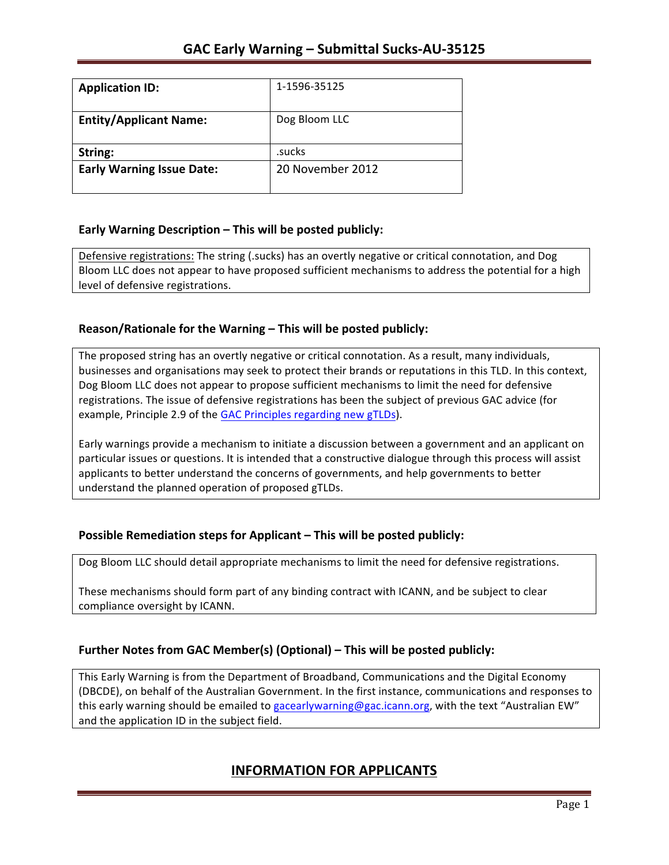| <b>Application ID:</b>           | 1-1596-35125     |
|----------------------------------|------------------|
| <b>Entity/Applicant Name:</b>    | Dog Bloom LLC    |
| String:                          | .sucks           |
| <b>Early Warning Issue Date:</b> | 20 November 2012 |

### **Early Warning Description – This will be posted publicly:**

Defensive registrations: The string (.sucks) has an overtly negative or critical connotation, and Dog Bloom LLC does not appear to have proposed sufficient mechanisms to address the potential for a high level of defensive registrations.

### **Reason/Rationale for the Warning – This will be posted publicly:**

The proposed string has an overtly negative or critical connotation. As a result, many individuals, businesses and organisations may seek to protect their brands or reputations in this TLD. In this context, Dog Bloom LLC does not appear to propose sufficient mechanisms to limit the need for defensive registrations. The issue of defensive registrations has been the subject of previous GAC advice (for example, Principle 2.9 of the GAC Principles regarding new gTLDs).

Early warnings provide a mechanism to initiate a discussion between a government and an applicant on particular issues or questions. It is intended that a constructive dialogue through this process will assist applicants to better understand the concerns of governments, and help governments to better understand the planned operation of proposed gTLDs.

## **Possible Remediation steps for Applicant – This will be posted publicly:**

Dog Bloom LLC should detail appropriate mechanisms to limit the need for defensive registrations.

These mechanisms should form part of any binding contract with ICANN, and be subject to clear compliance oversight by ICANN.

### **Further Notes from GAC Member(s) (Optional) – This will be posted publicly:**

This Early Warning is from the Department of Broadband, Communications and the Digital Economy (DBCDE), on behalf of the Australian Government. In the first instance, communications and responses to this early warning should be emailed to gacearlywarning@gac.icann.org, with the text "Australian EW" and the application ID in the subject field.

# **INFORMATION FOR APPLICANTS**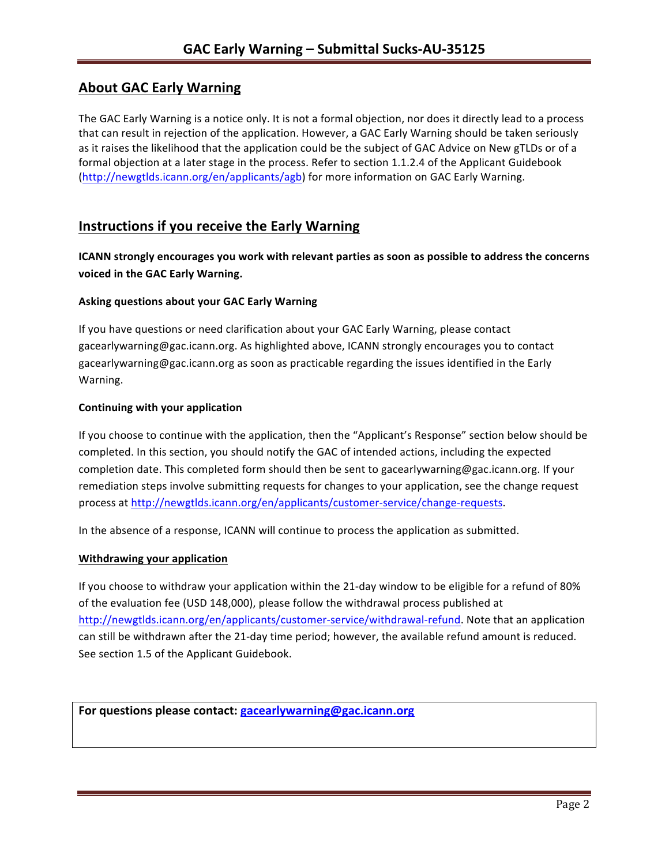## **About GAC Early Warning**

The GAC Early Warning is a notice only. It is not a formal objection, nor does it directly lead to a process that can result in rejection of the application. However, a GAC Early Warning should be taken seriously as it raises the likelihood that the application could be the subject of GAC Advice on New gTLDs or of a formal objection at a later stage in the process. Refer to section 1.1.2.4 of the Applicant Guidebook (http://newgtlds.icann.org/en/applicants/agb) for more information on GAC Early Warning.

## **Instructions if you receive the Early Warning**

**ICANN** strongly encourages you work with relevant parties as soon as possible to address the concerns **voiced in the GAC Early Warning.** 

#### **Asking questions about your GAC Early Warning**

If you have questions or need clarification about your GAC Early Warning, please contact gacearlywarning@gac.icann.org. As highlighted above, ICANN strongly encourages you to contact gacearlywarning@gac.icann.org as soon as practicable regarding the issues identified in the Early Warning. 

#### **Continuing with your application**

If you choose to continue with the application, then the "Applicant's Response" section below should be completed. In this section, you should notify the GAC of intended actions, including the expected completion date. This completed form should then be sent to gacearlywarning@gac.icann.org. If your remediation steps involve submitting requests for changes to your application, see the change request process at http://newgtlds.icann.org/en/applicants/customer-service/change-requests.

In the absence of a response, ICANN will continue to process the application as submitted.

#### **Withdrawing your application**

If you choose to withdraw your application within the 21-day window to be eligible for a refund of 80% of the evaluation fee (USD 148,000), please follow the withdrawal process published at http://newgtlds.icann.org/en/applicants/customer-service/withdrawal-refund. Note that an application can still be withdrawn after the 21-day time period; however, the available refund amount is reduced. See section 1.5 of the Applicant Guidebook.

```
For questions please contact: gacearlywarning@gac.icann.org
```